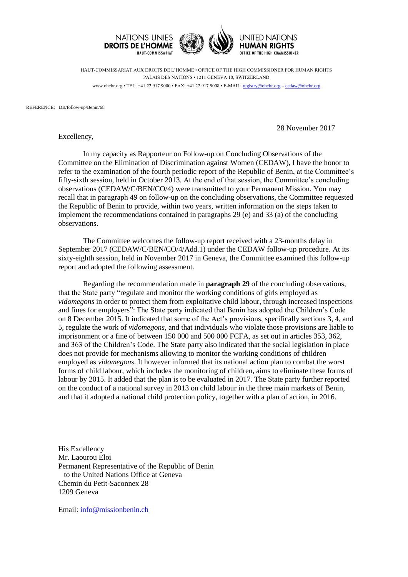



**HUMAN RIGHTS** OFFICE OF THE HIGH COMMISSIONER

HAUT-COMMISSARIAT AUX DROITS DE L'HOMME • OFFICE OF THE HIGH COMMISSIONER FOR HUMAN RIGHTS PALAIS DES NATIONS • 1211 GENEVA 10, SWITZERLAND www.ohchr.org • TEL: +41 22 917 9000 • FAX: +41 22 917 9008 • E-MAIL: [registry@ohchr.org](mailto:registry@ohchr.org) – [cedaw@ohchr.org](mailto:cedaw@ohchr.org)

REFERENCE: DB/follow-up/Benin/68

28 November 2017

Excellency,

In my capacity as Rapporteur on Follow-up on Concluding Observations of the Committee on the Elimination of Discrimination against Women (CEDAW), I have the honor to refer to the examination of the fourth periodic report of the Republic of Benin, at the Committee's fifty-sixth session, held in October 2013. At the end of that session, the Committee's concluding observations (CEDAW/C/BEN/CO/4) were transmitted to your Permanent Mission. You may recall that in paragraph 49 on follow-up on the concluding observations, the Committee requested the Republic of Benin to provide, within two years, written information on the steps taken to implement the recommendations contained in paragraphs 29 (e) and 33 (a) of the concluding observations.

The Committee welcomes the follow-up report received with a 23-months delay in September 2017 (CEDAW/C/BEN/CO/4/Add.1) under the CEDAW follow-up procedure. At its sixty-eighth session, held in November 2017 in Geneva, the Committee examined this follow-up report and adopted the following assessment.

Regarding the recommendation made in **paragraph 29** of the concluding observations, that the State party "regulate and monitor the working conditions of girls employed as *vidomegons* in order to protect them from exploitative child labour, through increased inspections and fines for employers": The State party indicated that Benin has adopted the Children's Code on 8 December 2015. It indicated that some of the Act's provisions, specifically sections 3, 4, and 5, regulate the work of *vidomegons*, and that individuals who violate those provisions are liable to imprisonment or a fine of between 150 000 and 500 000 FCFA, as set out in articles 353, 362, and 363 of the Children's Code. The State party also indicated that the social legislation in place does not provide for mechanisms allowing to monitor the working conditions of children employed as *vidomegons*. It however informed that its national action plan to combat the worst forms of child labour, which includes the monitoring of children, aims to eliminate these forms of labour by 2015. It added that the plan is to be evaluated in 2017. The State party further reported on the conduct of a national survey in 2013 on child labour in the three main markets of Benin, and that it adopted a national child protection policy, together with a plan of action, in 2016.

His Excellency Mr. Laourou Eloi Permanent Representative of the Republic of Benin to the United Nations Office at Geneva Chemin du Petit-Saconnex 28 1209 Geneva

Email: [info@missionbenin.ch](mailto:info@missionbenin.ch)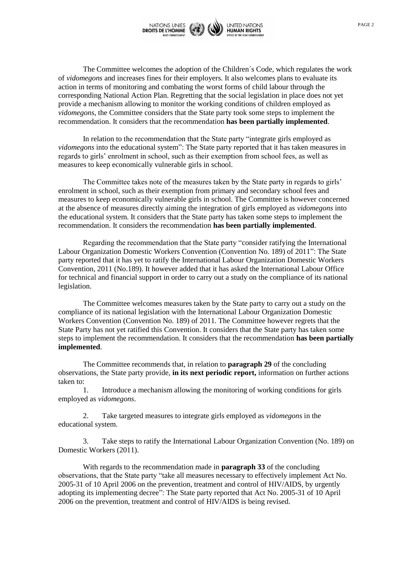

The Committee welcomes the adoption of the Children´s Code, which regulates the work of *vidomegons* and increases fines for their employers. It also welcomes plans to evaluate its action in terms of monitoring and combating the worst forms of child labour through the corresponding National Action Plan. Regretting that the social legislation in place does not yet provide a mechanism allowing to monitor the working conditions of children employed as *vidomegons*, the Committee considers that the State party took some steps to implement the recommendation. It considers that the recommendation **has been partially implemented**.

In relation to the recommendation that the State party "integrate girls employed as *vidomegons* into the educational system": The State party reported that it has taken measures in regards to girls' enrolment in school, such as their exemption from school fees, as well as measures to keep economically vulnerable girls in school.

The Committee takes note of the measures taken by the State party in regards to girls' enrolment in school, such as their exemption from primary and secondary school fees and measures to keep economically vulnerable girls in school. The Committee is however concerned at the absence of measures directly aiming the integration of girls employed as *vidomegons* into the educational system. It considers that the State party has taken some steps to implement the recommendation. It considers the recommendation **has been partially implemented**.

Regarding the recommendation that the State party "consider ratifying the International Labour Organization Domestic Workers Convention (Convention No. 189) of 2011": The State party reported that it has yet to ratify the International Labour Organization Domestic Workers Convention, 2011 (No.189). It however added that it has asked the International Labour Office for technical and financial support in order to carry out a study on the compliance of its national legislation.

The Committee welcomes measures taken by the State party to carry out a study on the compliance of its national legislation with the International Labour Organization Domestic Workers Convention (Convention No. 189) of 2011. The Committee however regrets that the State Party has not yet ratified this Convention. It considers that the State party has taken some steps to implement the recommendation. It considers that the recommendation **has been partially implemented**.

The Committee recommends that, in relation to **paragraph 29** of the concluding observations, the State party provide, **in its next periodic report,** information on further actions taken to:

1. Introduce a mechanism allowing the monitoring of working conditions for girls employed as *vidomegons*.

2. Take targeted measures to integrate girls employed as *vidomegons* in the educational system.

3. Take steps to ratify the International Labour Organization Convention (No. 189) on Domestic Workers (2011).

With regards to the recommendation made in **paragraph 33** of the concluding observations, that the State party "take all measures necessary to effectively implement Act No. 2005-31 of 10 April 2006 on the prevention, treatment and control of HIV/AIDS, by urgently adopting its implementing decree": The State party reported that Act No. 2005-31 of 10 April 2006 on the prevention, treatment and control of HIV/AIDS is being revised.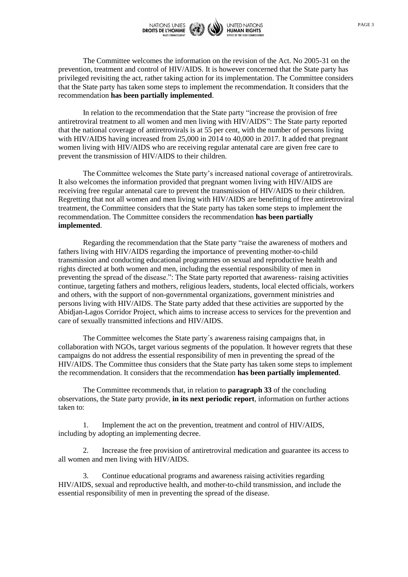

The Committee welcomes the information on the revision of the Act. No 2005-31 on the prevention, treatment and control of HIV/AIDS. It is however concerned that the State party has privileged revisiting the act, rather taking action for its implementation. The Committee considers that the State party has taken some steps to implement the recommendation. It considers that the recommendation **has been partially implemented**.

In relation to the recommendation that the State party "increase the provision of free antiretroviral treatment to all women and men living with HIV/AIDS": The State party reported that the national coverage of antiretrovirals is at 55 per cent, with the number of persons living with HIV/AIDS having increased from 25,000 in 2014 to 40,000 in 2017. It added that pregnant women living with HIV/AIDS who are receiving regular antenatal care are given free care to prevent the transmission of HIV/AIDS to their children.

The Committee welcomes the State party's increased national coverage of antiretrovirals. It also welcomes the information provided that pregnant women living with HIV/AIDS are receiving free regular antenatal care to prevent the transmission of HIV/AIDS to their children. Regretting that not all women and men living with HIV/AIDS are benefitting of free antiretroviral treatment, the Committee considers that the State party has taken some steps to implement the recommendation. The Committee considers the recommendation **has been partially implemented**.

Regarding the recommendation that the State party "raise the awareness of mothers and fathers living with HIV/AIDS regarding the importance of preventing mother-to-child transmission and conducting educational programmes on sexual and reproductive health and rights directed at both women and men, including the essential responsibility of men in preventing the spread of the disease.": The State party reported that awareness- raising activities continue, targeting fathers and mothers, religious leaders, students, local elected officials, workers and others, with the support of non-governmental organizations, government ministries and persons living with HIV/AIDS. The State party added that these activities are supported by the Abidjan-Lagos Corridor Project, which aims to increase access to services for the prevention and care of sexually transmitted infections and HIV/AIDS.

The Committee welcomes the State party´s awareness raising campaigns that, in collaboration with NGOs, target various segments of the population. It however regrets that these campaigns do not address the essential responsibility of men in preventing the spread of the HIV/AIDS. The Committee thus considers that the State party has taken some steps to implement the recommendation. It considers that the recommendation **has been partially implemented**.

The Committee recommends that, in relation to **paragraph 33** of the concluding observations, the State party provide, **in its next periodic report**, information on further actions taken to:

1. Implement the act on the prevention, treatment and control of HIV/AIDS, including by adopting an implementing decree.

2. Increase the free provision of antiretroviral medication and guarantee its access to all women and men living with HIV/AIDS.

3. Continue educational programs and awareness raising activities regarding HIV/AIDS, sexual and reproductive health, and mother-to-child transmission, and include the essential responsibility of men in preventing the spread of the disease.